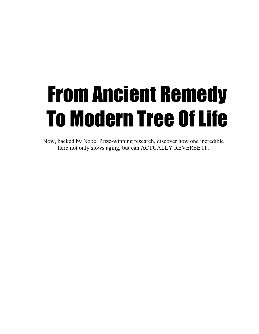# From Ancient Remedy To Modern Tree Of Life

Now, backed by Nobel Prize-winning research, discover how one incredible herb not only slows aging, but can ACTUALLY REVERSE IT.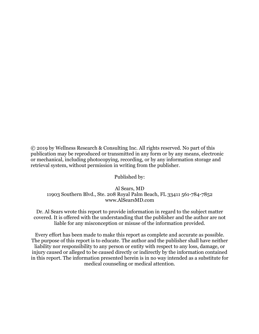© 2019 by Wellness Research & Consulting Inc. All rights reserved. No part of this publication may be reproduced or transmitted in any form or by any means, electronic or mechanical, including photocopying, recording, or by any information storage and retrieval system, without permission in writing from the publisher.

Published by:

Al Sears, MD 11903 Southern Blvd., Ste. 208 Royal Palm Beach, FL 33411 561-784-7852 www.AlSearsMD.com

Dr. Al Sears wrote this report to provide information in regard to the subject matter covered. It is offered with the understanding that the publisher and the author are not liable for any misconception or misuse of the information provided.

Every effort has been made to make this report as complete and accurate as possible. The purpose of this report is to educate. The author and the publisher shall have neither liability nor responsibility to any person or entity with respect to any loss, damage, or injury caused or alleged to be caused directly or indirectly by the information contained in this report. The information presented herein is in no way intended as a substitute for medical counseling or medical attention.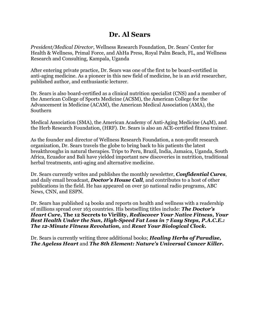## **Dr. Al Sears**

*President/Medical Director*, Wellness Research Foundation, Dr. Sears' Center for Health & Wellness, Primal Force, and AhHa Press, Royal Palm Beach, FL, and Wellness Research and Consulting, Kampala, Uganda

After entering private practice, Dr. Sears was one of the first to be board-certified in anti-aging medicine. As a pioneer in this new field of medicine, he is an avid researcher, published author, and enthusiastic lecturer.

Dr. Sears is also board-certified as a clinical nutrition specialist (CNS) and a member of the American College of Sports Medicine (ACSM), the American College for the Advancement in Medicine (ACAM), the American Medical Association (AMA), the Southern

Medical Association (SMA), the American Academy of Anti-Aging Medicine (A4M), and the Herb Research Foundation, (HRF). Dr. Sears is also an ACE-certified fitness trainer.

As the founder and director of Wellness Research Foundation, a non-profit research organization, Dr. Sears travels the globe to bring back to his patients the latest breakthroughs in natural therapies. Trips to Peru, Brazil, India, Jamaica, Uganda, South Africa, Ecuador and Bali have yielded important new discoveries in nutrition, traditional herbal treatments, anti-aging and alternative medicine.

Dr. Sears currently writes and publishes the monthly newsletter, *Confidential Cures*, and daily email broadcast, *Doctor's House Call*, and contributes to a host of other publications in the field. He has appeared on over 50 national radio programs, ABC News, CNN, and ESPN.

Dr. Sears has published 14 books and reports on health and wellness with a readership of millions spread over 163 countries. His bestselling titles include: *The Doctor's Heart Cure***, The 12 Secrets to Virility,** *Rediscover Your Native Fitness***,** *Your Best Health Under the Sun***,** *High-Speed Fat Loss in 7 Easy Steps, P.A.C.E.: The 12-Minute Fitness Revolution,* and *Reset Your Biological Clock.* 

Dr. Sears is currently writing three additional books; *Healing Herbs of Paradise, The Ageless Heart* and *The 8th Element: Nature's Universal Cancer Killer.*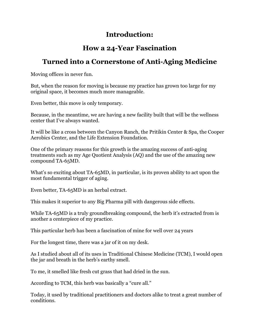## **Introduction:**

## **How a 24-Year Fascination**

## **Turned into a Cornerstone of Anti-Aging Medicine**

Moving offices in never fun.

But, when the reason for moving is because my practice has grown too large for my original space, it becomes much more manageable.

Even better, this move is only temporary.

Because, in the meantime, we are having a new facility built that will be the wellness center that I've always wanted.

It will be like a cross between the Canyon Ranch, the Pritikin Center & Spa, the Cooper Aerobics Center, and the Life Extension Foundation.

One of the primary reasons for this growth is the amazing success of anti-aging treatments such as my Age Quotient Analysis (AQ) and the use of the amazing new compound TA-65MD.

What's so exciting about TA-65MD, in particular, is its proven ability to act upon the most fundamental trigger of aging.

Even better, TA-65MD is an herbal extract.

This makes it superior to any Big Pharma pill with dangerous side effects.

While TA-65MD is a truly groundbreaking compound, the herb it's extracted from is another a centerpiece of my practice.

This particular herb has been a fascination of mine for well over 24 years

For the longest time, there was a jar of it on my desk.

As I studied about all of its uses in Traditional Chinese Medicine (TCM), I would open the jar and breath in the herb's earthy smell.

To me, it smelled like fresh cut grass that had dried in the sun.

According to TCM, this herb was basically a "cure all."

Today, it used by traditional practitioners and doctors alike to treat a great number of conditions.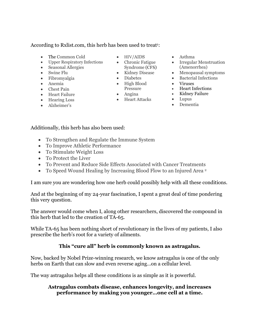#### According to Rxlist.com, this herb has been used to treat<sup>1</sup>:

- The Common Cold
- Upper Respiratory Infections
- Seasonal Allergies
- Swine Flu
- Fibromyalgia
- Anemia
- Chest Pain
- Heart Failure
- Hearing Loss
- Alzheimer's
- HIV/AIDS
- Chronic Fatigue Syndrome (CFS)
- Kidney Disease
- Diabetes
- High Blood Pressure
- Heart Attacks
- Asthma
- Irregular Menstruation (Amenorrhea)
- Menopausal symptoms
- Bacterial Infections
- Viruses
- Heart Infections
- Kidney Failure
- Lupus
- Dementia

Additionally, this herb has also been used:

- To Strengthen and Regulate the Immune System
- To Improve Athletic Performance
- To Stimulate Weight Loss
- To Protect the Liver
- To Prevent and Reduce Side Effects Associated with Cancer Treatments
- To Speed Wound Healing by Increasing Blood Flow to an Injured Area 2

I am sure you are wondering how one herb could possibly help with all these conditions.

And at the beginning of my 24-year fascination, I spent a great deal of time pondering this very question.

The answer would come when I, along other researchers, discovered the compound in this herb that led to the creation of TA-65.

While TA-65 has been nothing short of revolutionary in the lives of my patients, I also prescribe the herb's root for a variety of ailments.

## **This "cure all" herb is commonly known as astragalus.**

Now, backed by Nobel Prize-winning research, we know astragalus is one of the only herbs on Earth that can slow and even reverse aging…on a cellular level.

The way astragalus helps all these conditions is as simple as it is powerful.

### **Astragalus combats disease, enhances longevity, and increases performance by making you younger…one cell at a time.**

- Angina
	-
-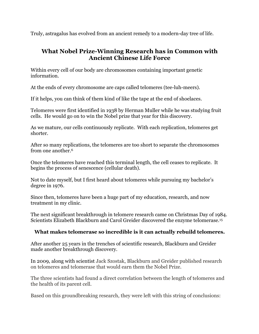Truly, astragalus has evolved from an ancient remedy to a modern-day tree of life.

## **What Nobel Prize-Winning Research has in Common with Ancient Chinese Life Force**

Within every cell of our body are chromosomes containing important genetic information.

At the ends of every chromosome are caps called telomeres (tee-luh-meers).

If it helps, you can think of them kind of like the tape at the end of shoelaces.

Telomeres were first identified in 1938 by Herman Muller while he was studying fruit cells. He would go on to win the Nobel prize that year for this discovery.

As we mature, our cells continuously replicate. With each replication, telomeres get shorter.

After so many replications, the telomeres are too short to separate the chromosomes from one another.6

Once the telomeres have reached this terminal length, the cell ceases to replicate. It begins the process of senescence (cellular death).

Not to date myself, but I first heard about telomeres while pursuing my bachelor's degree in 1976.

Since then, telomeres have been a huge part of my education, research, and now treatment in my clinic.

The next significant breakthrough in telomere research came on Christmas Day of 1984. Scientists Elizabeth Blackburn and Carol Greider discovered the enzyme telomerase.15

## **What makes telomerase so incredible is it can actually rebuild telomeres.**

After another 25 years in the trenches of scientific research, Blackburn and Greider made another breakthrough discovery.

In 2009, along with scientist Jack Szostak, Blackburn and Greider published research on telomeres and telomerase that would earn them the Nobel Prize.

The three scientists had found a direct correlation between the length of telomeres and the health of its parent cell.

Based on this groundbreaking research, they were left with this string of conclusions: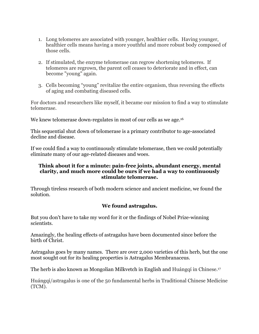- 1. Long telomeres are associated with younger, healthier cells. Having younger, healthier cells means having a more youthful and more robust body composed of those cells.
- 2. If stimulated, the enzyme telomerase can regrow shortening telomeres. If telomeres are regrown, the parent cell ceases to deteriorate and in effect, can become "young" again.
- 3. Cells becoming "young" revitalize the entire organism, thus reversing the effects of aging and combating diseased cells.

For doctors and researchers like myself, it became our mission to find a way to stimulate telomerase.

We knew telomerase down-regulates in most of our cells as we age.<sup>16</sup>

This sequential shut down of telomerase is a primary contributor to age-associated decline and disease.

If we could find a way to continuously stimulate telomerase, then we could potentially eliminate many of our age-related diseases and woes.

#### **Think about it for a minute: pain-free joints, abundant energy, mental clarity, and much more could be ours if we had a way to continuously stimulate telomerase.**

Through tireless research of both modern science and ancient medicine, we found the solution.

## **We found astragalus.**

But you don't have to take my word for it or the findings of Nobel Prize-winning scientists.

Amazingly, the healing effects of astragalus have been documented since before the birth of Christ.

Astragalus goes by many names. There are over 2,000 varieties of this herb, but the one most sought out for its healing properties is Astragalus Membranaceus*.* 

The herb is also known as Mongolian Milkvetch in English and Huángqí in Chinese.17

Huángqí/astragalus is one of the 50 fundamental herbs in Traditional Chinese Medicine (TCM).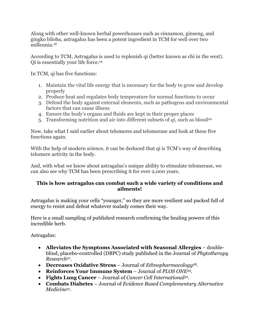Along with other well-known herbal powerhouses such as cinnamon, ginseng, and gingko biloba, astragalus has been a potent ingredient in TCM for well over two millennia.18

According to TCM, Astragalus is used to replenish qi (better known as chi in the west). Qi is essentially your life force.19

In TCM, qi has five functions:

- 1. Maintain the vital life energy that is necessary for the body to grow and develop properly
- 2. Produce heat and regulates body temperature for normal functions to occur
- 3. Defend the body against external elements, such as pathogens and environmental factors that can cause illness
- 4. Ensure the body's organs and fluids are kept in their proper places
- 5. Transforming nutrition and air into different subsets of *qi*, such as blood<sup>20</sup>

Now, take what I said earlier about telomeres and telomerase and look at these five functions again.

With the help of modern science, it can be deduced that qi is TCM's way of describing telomere activity in the body.

And, with what we know about astragalus's unique ability to stimulate telomerase, we can also see why TCM has been prescribing it for over 2,000 years.

## **This is how astragalus can combat such a wide variety of conditions and ailments!**

Astragalus is making your cells "younger," so they are more resilient and packed full of energy to resist and defeat whatever malady comes their way.

Here is a small sampling of published research confirming the healing powers of this incredible herb.

Astragalus:

- **Alleviates the Symptoms Associated with Seasonal Allergies** doubleblind, placebo-controlled (DBPC) study published in the Journal of *Phytotherapy Research*27.
- **Decreases Oxidative Stress** Journal of *Ethnopharmacology*28.
- **Reinforces Your Immune System** Journal of *PLOS ONE*29.
- **Fights Lung Cancer**  Journal of *Cancer Cell International*30.
- **Combats Diabetes**  Journal of *Evidence Based Complementary Alternative Medicine31.*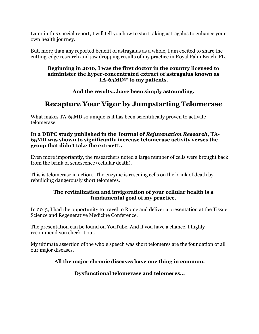Later in this special report, I will tell you how to start taking astragalus to enhance your own health journey.

But, more than any reported benefit of astragalus as a whole, I am excited to share the cutting-edge research and jaw dropping results of my practice in Royal Palm Beach, FL.

#### **Beginning in 2010, I was the first doctor in the country licensed to administer the hyper-concentrated extract of astragalus known as TA-65MD32 to my patients.**

**And the results…have been simply astounding.**

# **Recapture Your Vigor by Jumpstarting Telomerase**

What makes TA-65MD so unique is it has been scientifically proven to activate telomerase.

#### **In a DBPC study published in the Journal of** *Rejuvenation Research***, TA-65MD was shown to significantly increase telomerase activity verses the group that didn't take the extract33.**

Even more importantly, the researchers noted a large number of cells were brought back from the brink of senescence (cellular death).

This is telomerase in action. The enzyme is rescuing cells on the brink of death by rebuilding dangerously short telomeres.

## **The revitalization and invigoration of your cellular health is a fundamental goal of my practice.**

In 2015, I had the opportunity to travel to Rome and deliver a presentation at the Tissue Science and Regenerative Medicine Conference.

The presentation can be found on YouTube. And if you have a chance, I highly recommend you check it out.

My ultimate assertion of the whole speech was short telomeres are the foundation of all our major diseases.

## **All the major chronic diseases have one thing in common.**

**Dysfunctional telomerase and telomeres…**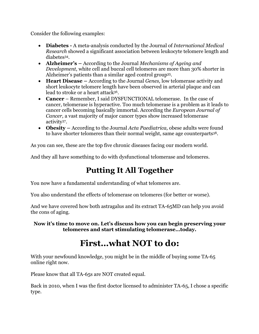Consider the following examples:

- **Diabetes -** A meta-analysis conducted by the Journal of *International Medical Research* showed a significant association between leukocyte telomere length and diabetes34.
- **Alzheimer's –** According to the Journal *Mechanisms of Ageing and Development*, white cell and buccal cell telomeres are more than 30% shorter in Alzheimer's patients than a similar aged control group35.
- **Heart Disease –** According to the Journal *Genes,* low telomerase activity and short leukocyte telomere length have been observed in arterial plaque and can lead to stroke or a heart attack36.
- **Cancer** Remember, I said DYSFUNCTIONAL telomerase. In the case of cancer, telomerase is hyperactive. Too much telomerase is a problem as it leads to cancer cells becoming basically immortal. According the *European Journal of Cancer,* a vast majority of major cancer types show increased telomerase activity37.
- **Obesity** *–* According to the Journal *Acta Paediatrica,* obese adults were found to have shorter telomeres than their normal weight, same age counterparts38.

As you can see, these are the top five chronic diseases facing our modern world.

And they all have something to do with dysfunctional telomerase and telomeres.

# **Putting It All Together**

You now have a fundamental understanding of what telomeres are.

You also understand the effects of telomerase on telomeres (for better or worse).

And we have covered how both astragalus and its extract TA-65MD can help you avoid the cons of aging.

**Now it's time to move on. Let's discuss how you can begin preserving your telomeres and start stimulating telomerase…today.**

# **First…what NOT to do:**

With your newfound knowledge, you might be in the middle of buying some TA-65 online right now.

Please know that all TA-65s are NOT created equal.

Back in 2010, when I was the first doctor licensed to administer TA-65, I chose a specific type.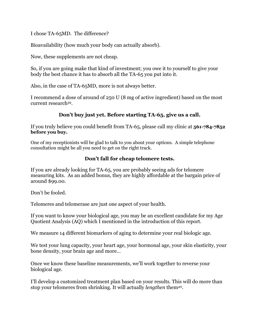I chose TA-65MD. The difference?

Bioavailability (how much your body can actually absorb).

Now, these supplements are not cheap.

So, if you are going make that kind of investment; you owe it to yourself to give your body the best chance it has to absorb all the TA-65 you put into it.

Also, in the case of TA-65MD, more is not always better.

I recommend a dose of around of 250 U (8 mg of active ingredient) based on the most current research39.

## **Don't buy just yet. Before starting TA-65, give us a call.**

If you truly believe you could benefit from TA-65, please call my clinic at **561-784-7852 before you buy.**

One of my receptionists will be glad to talk to you about your options. A simple telephone consultation might be all you need to get on the right track.

## **Don't fall for cheap telomere tests.**

If you are already looking for TA-65, you are probably seeing ads for telomere measuring kits. As an added bonus, they are highly affordable at the bargain price of around \$99.00.

Don't be fooled.

Telomeres and telomerase are just one aspect of your health.

If you want to know your biological age, you may be an excellent candidate for my Age Quotient Analysis (AQ) which I mentioned in the introduction of this report.

We measure 14 different biomarkers of aging to determine your real biologic age.

We test your lung capacity, your heart age, your hormonal age, your skin elasticity, your bone density, your brain age and more…

Once we know these baseline measurements, we'll work together to reverse your biological age.

I'll develop a customized treatment plan based on your results. This will do more than stop your telomeres from shrinking. It will actually *lengthen* them40.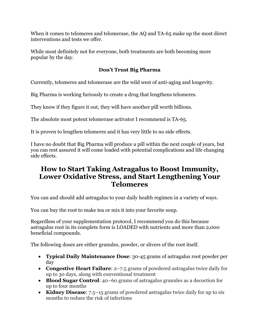When it comes to telomeres and telomerase, the AQ and TA-65 make up the most direct interventions and tests we offer.

While most definitely not for everyone, both treatments are both becoming more popular by the day.

## **Don't Trust Big Pharma**

Currently, telomeres and telomerase are the wild west of anti-aging and longevity.

Big Pharma is working furiously to create a drug that lengthens telomeres.

They know if they figure it out, they will have another pill worth billions.

The absolute most potent telomerase activator I recommend is TA-65.

It is proven to lengthen telomeres and it has very little to no side effects.

I have no doubt that Big Pharma will produce a pill within the next couple of years, but you can rest assured it will come loaded with potential complications and life changing side effects.

## **How to Start Taking Astragalus to Boost Immunity, Lower Oxidative Stress, and Start Lengthening Your Telomeres**

You can and should add astragalus to your daily health regimen in a variety of ways.

You can buy the root to make tea or mix it into your favorite soup.

Regardless of your supplementation protocol, I recommend you do this because astragalus root in its complete form is LOADED with nutrients and more than 2,000 beneficial compounds.

The following doses are either granules, powder, or slivers of the root itself.

- **Typical Daily Maintenance Dose**: 30-45 grams of astragalus root powder per day
- **Congestive Heart Failure**: 2–7.5 grams of powdered astragalus twice daily for up to 30 days, along with conventional treatment
- **Blood Sugar Control**: 40–60 grams of astragalus granules as a decoction for up to four months
- **Kidney Disease**: 7.5–15 grams of powdered astragalus twice daily for up to six months to reduce the risk of infections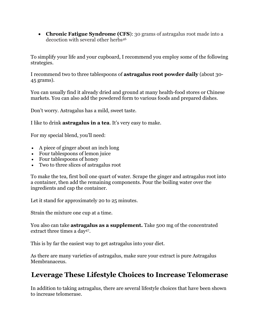• **Chronic Fatigue Syndrome (CFS**): 30 grams of astragalus root made into a decoction with several other herbs46

To simplify your life and your cupboard, I recommend you employ some of the following strategies.

I recommend two to three tablespoons of **astragalus root powder daily** (about 30- 45 grams).

You can usually find it already dried and ground at many health-food stores or Chinese markets. You can also add the powdered form to various foods and prepared dishes.

Don't worry. Astragalus has a mild, sweet taste.

I like to drink **astragalus in a tea**. It's very easy to make.

For my special blend, you'll need:

- A piece of ginger about an inch long
- Four tablespoons of lemon juice
- Four tablespoons of honey
- Two to three slices of astragalus root

To make the tea, first boil one quart of water. Scrape the ginger and astragalus root into a container, then add the remaining components. Pour the boiling water over the ingredients and cap the container.

Let it stand for approximately 20 to 25 minutes.

Strain the mixture one cup at a time.

You also can take **astragalus as a supplement.** Take 500 mg of the concentrated extract three times a day<sup>47</sup>.

This is by far the easiest way to get astragalus into your diet.

As there are many varieties of astragalus, make sure your extract is pure Astragalus Membranaceus.

## **Leverage These Lifestyle Choices to Increase Telomerase**

In addition to taking astragalus, there are several lifestyle choices that have been shown to increase telomerase.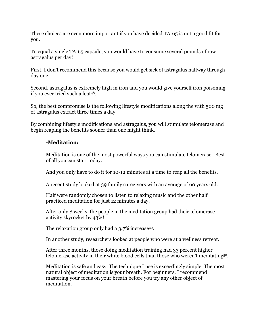These choices are even more important if you have decided TA-65 is not a good fit for you.

To equal a single TA-65 capsule, you would have to consume several pounds of raw astragalus per day!

First, I don't recommend this because you would get sick of astragalus halfway through day one.

Second, astragalus is extremely high in iron and you would give yourself iron poisoning if you ever tried such a feat48.

So, the best compromise is the following lifestyle modifications along the with 500 mg of astragalus extract three times a day.

By combining lifestyle modifications and astragalus, you will stimulate telomerase and begin reaping the benefits sooner than one might think.

## **-Meditation:**

Meditation is one of the most powerful ways you can stimulate telomerase. Best of all you can start today.

And you only have to do it for 10-12 minutes at a time to reap all the benefits.

A recent study looked at 39 family caregivers with an average of 60 years old.

Half were randomly chosen to listen to relaxing music and the other half practiced meditation for just 12 minutes a day.

After only 8 weeks, the people in the meditation group had their telomerase activity skyrocket by 43%!

The relaxation group only had a 3.7% increase<sup>49</sup>.

In another study, researchers looked at people who were at a wellness retreat.

After three months, those doing meditation training had 33 percent higher telomerase activity in their white blood cells than those who weren't meditating50.

Meditation is safe and easy. The technique I use is exceedingly simple. The most natural object of meditation is your breath. For beginners, I recommend mastering your focus on your breath before you try any other object of meditation.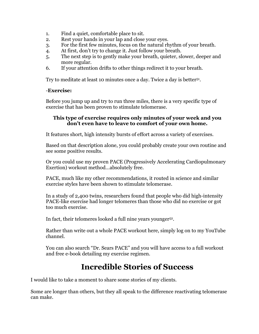- 1. Find a quiet, comfortable place to sit.
- 2. Rest your hands in your lap and close your eyes.
- 3. For the first few minutes, focus on the natural rhythm of your breath.
- 4. At first, don't try to change it. Just follow your breath.
- 5. The next step is to gently make your breath, quieter, slower, deeper and more regular.
- 6. If your attention drifts to other things redirect it to your breath.

Try to meditate at least 10 minutes once a day. Twice a day is better51.

#### -**Exercise:**

Before you jump up and try to run three miles, there is a very specific type of exercise that has been proven to stimulate telomerase.

#### **This type of exercise requires only minutes of your week and you don't even have to leave to comfort of your own home.**

It features short, high intensity bursts of effort across a variety of exercises.

Based on that description alone, you could probably create your own routine and see some positive results.

Or you could use my proven PACE (Progressively Accelerating Cardiopulmonary Exertion) workout method…absolutely free.

PACE, much like my other recommendations, it routed in science and similar exercise styles have been shown to stimulate telomerase.

In a study of 2,400 twins, researchers found that people who did high-intensity PACE-like exercise had longer telomeres than those who did no exercise or got too much exercise.

In fact, their telomeres looked a full nine years younger52.

Rather than write out a whole PACE workout here, simply log on to my YouTube channel.

You can also search "Dr. Sears PACE" and you will have access to a full workout and free e-book detailing my exercise regimen.

## **Incredible Stories of Success**

I would like to take a moment to share some stories of my clients.

Some are longer than others, but they all speak to the difference reactivating telomerase can make.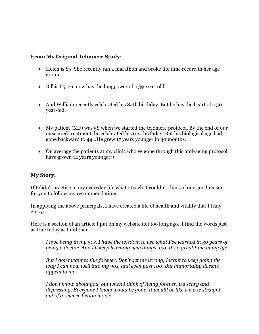## **From My Original Telomere Study**:

- Helen is 85. She recently ran a marathon and broke the time record in her age group.
- Bill is 65. He now has the lungpower of a 39-year-old.
- And William recently celebrated his 84th birthday. But he has the heart of a 50year-old.53
- My patient (MF) was 58 when we started the telomere protocol. By the end of our measured treatment, he celebrated his 61st birthday. But his biological age had gone backward to 44…He grew 17 years younger in 30 months.
- On average the patients at my clinic who've gone through this anti-aging protocol have grown 14 years younger<sup>54</sup>.

## **My Story:**

If I didn't practice in my everyday life what I teach, I couldn't think of one good reason for you to follow my recommendations.

In applying the above principals, I have created a life of health and vitality that I truly enjoy.

Here is a section of an article I put on my website not too long ago. I find the words just as true today as I did then.

*I love being in my 50s. I have the wisdom to use what I've learned in 30 years of being a doctor. And I'll keep learning new things, too. It's a great time in my life.*

*But I don't want to live forever. Don't get me wrong, I want to keep going the way I can now well into my 90s, and even past 100. But immortality doesn't appeal to me.*

*I don't know about you, but when I think of living forever, it's scary and depressing. Everyone I know would be gone. It would be like a curse straight out of a science fiction movie.*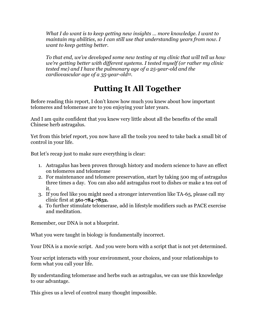*What I do want is to keep getting new insights … more knowledge. I want to maintain my abilities, so I can still use that understanding years from now. I want to keep getting better.*

*To that end, we've developed some new testing at my clinic that will tell us how we're getting better with different systems. I tested myself (or rather my clinic tested me) and I have the pulmonary age of a 25-year-old and the cardiovascular age of a 35-year-old55.*

# **Putting It All Together**

Before reading this report, I don't know how much you knew about how important telomeres and telomerase are to you enjoying your later years.

And I am quite confident that you knew very little about all the benefits of the small Chinese herb astragalus.

Yet from this brief report, you now have all the tools you need to take back a small bit of control in your life.

But let's recap just to make sure everything is clear:

- 1. Astragalus has been proven through history and modern science to have an effect on telomeres and telomerase
- 2. For maintenance and telomere preservation, start by taking 500 mg of astragalus three times a day. You can also add astragalus root to dishes or make a tea out of it.
- 3. If you feel like you might need a stronger intervention like TA-65, please call my clinic first at **561-784-7852.**
- 4. To further stimulate telomerase, add in lifestyle modifiers such as PACE exercise and meditation.

Remember, our DNA is not a blueprint.

What you were taught in biology is fundamentally incorrect.

Your DNA is a movie script. And you were born with a script that is not yet determined.

Your script interacts with your environment, your choices, and your relationships to form what you call your life.

By understanding telomerase and herbs such as astragalus, we can use this knowledge to our advantage.

This gives us a level of control many thought impossible.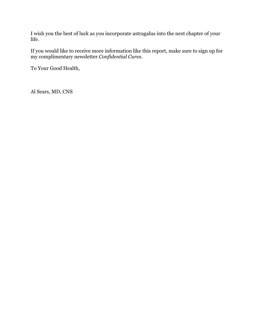I wish you the best of luck as you incorporate astragalus into the next chapter of your life.

If you would like to receive more information like this report, make sure to sign up for my complimentary newsletter *Confidential Cures*.

To Your Good Health,

Al Sears, MD, CNS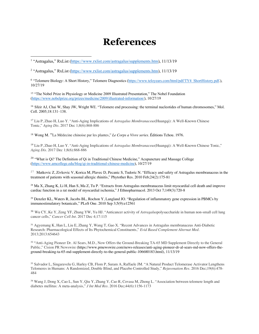# **References**

<sup>2</sup> "Astragalus," RxList (https://www.rxlist.com/astragalus/supplements.htm), 11/13/19

<sup>6</sup> "Telomere Biology: A Short History," Telomere Diagnostics (https://www.teloyears.com/html/pdf/TY4\_ShortHistory.pdf.), 10/27/19

<sup>15</sup> "The Nobel Prize in Physiology or Medicine 2009 Illustrated Presentation," The Nobel Foundation (https://www.nobelprize.org/prizes/medicine/2009/illustrated-information/), 10/27/19

<sup>16</sup> Sfeir AJ, Chai W, Shay JW, Wright WE. "Telomere end processing: the terminal nucleotides of human chromosomes," Mol. Cell. 2005;18:131–138.

<sup>17</sup> Liu P, Zhao H, Luo Y. "Anti-Aging Implications of *Astragalus Membranaceus*(Huangqi): A Well-Known Chinese Tonic," *Aging Dis*. 2017 Dec 1;8(6):868-886

<sup>18</sup> Wong M. "La Médecine chinoise par les plantes," *Le Corps a Vivre series*. Éditions Tchou. 1976.

<sup>19</sup> Liu P, Zhao H, Luo Y. "Anti-Aging Implications of *Astragalus Membranaceus*(Huangqi): A Well-Known Chinese Tonic," *Aging Dis*. 2017 Dec 1;8(6):868-886

<sup>20</sup> "What is Qi? The Definition of Qi in Traditional Chinese Medicine," Acupuncture and Massage College (https://www.amcollege.edu/blog/qi-in-traditional-chinese-medicine), 10/27/19

<sup>27</sup> Matkovic Z, Zivkovic V, Korica M, Plavec D, Pecanic S, Tudoric N. "Efficacy and safety of Astragalus membranaceus in the treatment of patients with seasonal allergic rhinitis," Phytother Res. 2010 Feb;24(2):175-81

<sup>28</sup> Ma X, Zhang K, Li H, Han S, Ma Z, Tu P. "Extracts from Astragalus membranaceus limit myocardial cell death and improve cardiac function in a rat model of myocardial ischemia," J Ethnopharmacol. 2013 Oct 7;149(3):720-8

<sup>29</sup> Denzler KL, Waters R, Jacobs BL, Rochon Y, Langland JO. "Regulation of inflammatory gene expression in PBMCs by immunostimulatory botanicals," PLoS One. 2010 Sep 3;5(9):e12561

<sup>30</sup> Wu CY, Ke Y, Zeng YF, Zhang YW, Yu HJ. "Anticancer activity of *Astragalus*polysaccharide in human non-small cell lung cancer cells," *Cancer Cell Int*. 2017 Dec 4;17:115

<sup>31</sup> Agyemang K, Han L, Liu E, Zhang Y, Wang T, Gao X. "Recent Advances in Astragalus membranaceus Anti-Diabetic Research: Pharmacological Effects of Its Phytochemical Constituents," *Evid Based Complement Alternat Med*. 2013;2013:654643

<sup>32</sup> "Anti-Aging Pioneer Dr. Al Sears, M.D., Now Offers the Ground-Breaking TA-65 MD Supplement Directly to the General Public," Cision PR Newswire (https://www.prnewswire.com/news-releases/anti-aging-pioneer-dr-al-sears-md-now-offers-theground-breaking-ta-65-md-supplement-directly-to-the-general-public-106680183.html), 11/13/19

<sup>33</sup> Salvador L, Singaravelu G, Harley CB, Flom P, Suram A, Raffaele JM. "A Natural Product Telomerase Activator Lengthens Telomeres in Humans: A Randomized, Double Blind, and Placebo Controlled Study," *Rejuvenation Res*. 2016 Dec;19(6):478- 484

<sup>34</sup> Wang J, Dong X, Cao L, Sun Y, Qiu Y, Zhang Y, Cao R, Covasa M, Zhong L. "Association between telomere length and diabetes mellitus: A meta-analysis," *J Int Med Res*. 2016 Dec;44(6):1156-1173

<sup>1</sup> "Astragalus," RxList (https://www.rxlist.com/astragalus/supplements.htm), 11/13/19